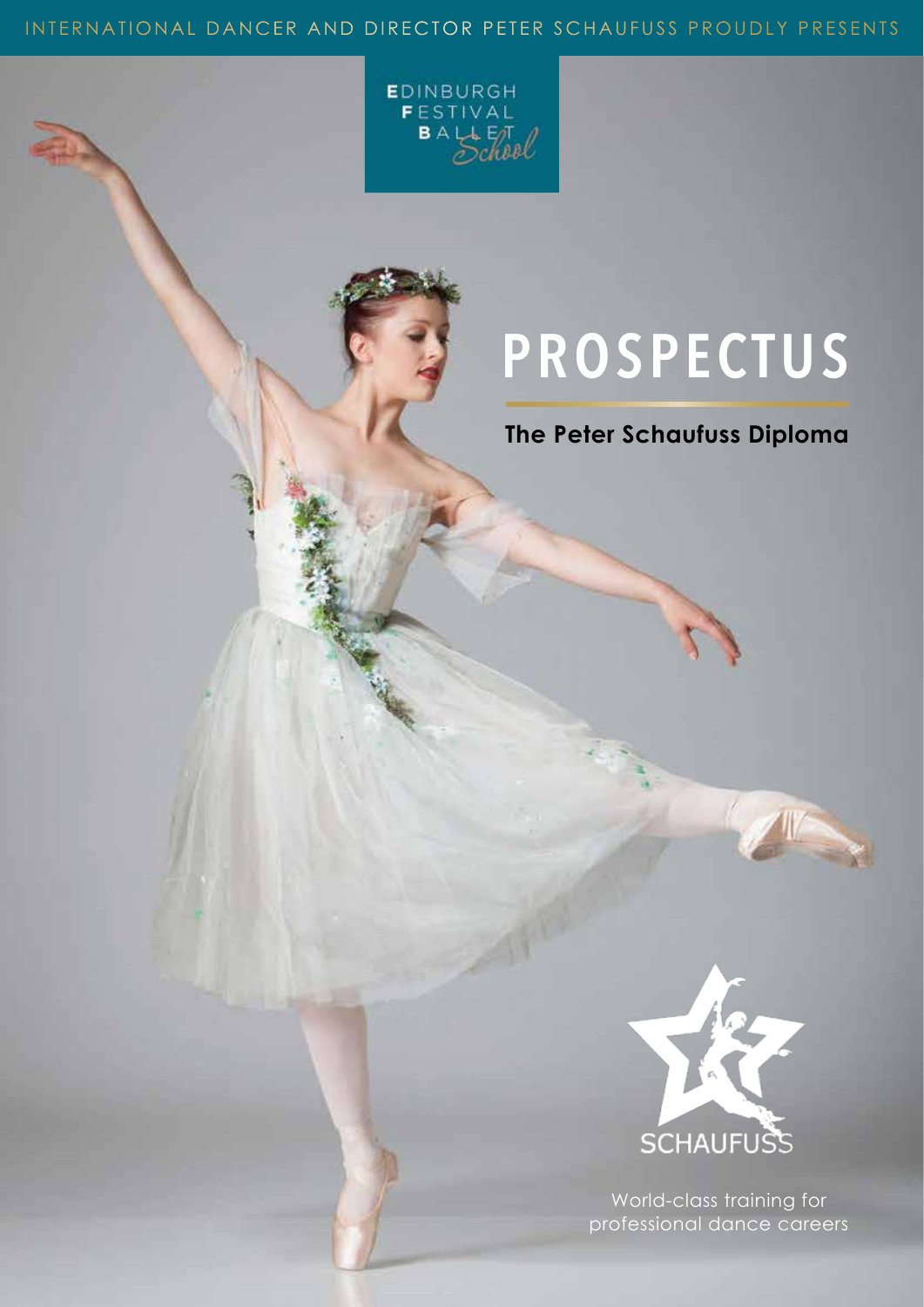### INTERNATIONAL DANCER AND DIRECTOR PETER SCHAUFUSS PROUDLY PRESENTS



# **PROSPECTUS**

## **The Peter Schaufuss Diploma**



World-class training for professional dance careers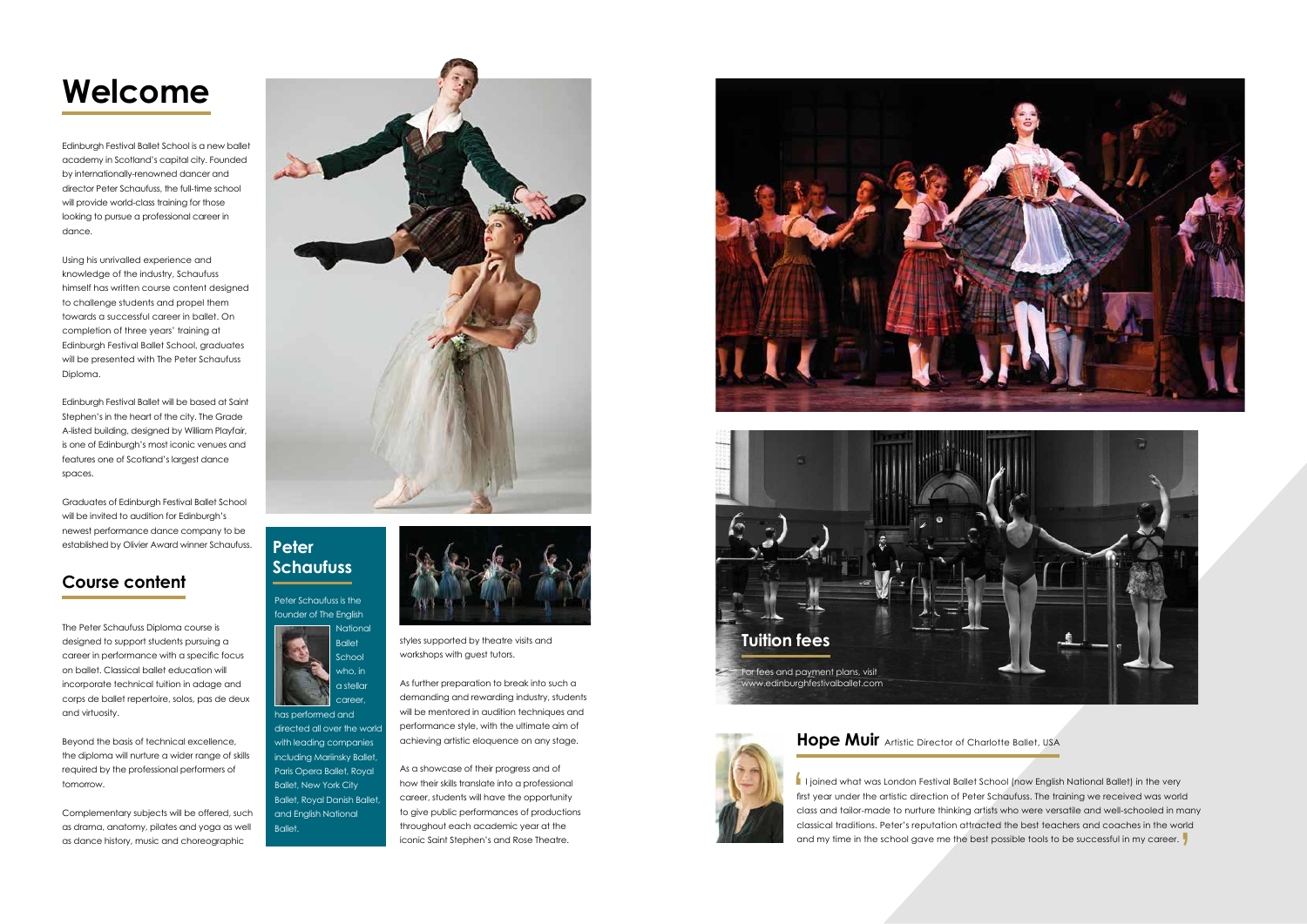# **Welcome**

Edinburgh Festival Ballet School is a new ballet academy in Scotland's capital city. Founded by internationally-renowned dancer and director Peter Schaufuss, the full-time school will provide world-class training for those looking to pursue a professional career in dance.

Using his unrivalled experience and knowledge of the industry, Schaufuss himself has written course content designed to challenge students and propel them towards a successful career in ballet. On completion of three years' training at Edinburgh Festival Ballet School, graduates will be presented with The Peter Schaufuss Diploma.

Edinburgh Festival Ballet will be based at Saint Stephen's in the heart of the city. The Grade A-listed building, designed by William Playfair, is one of Edinburgh's most iconic venues and features one of Scotland's largest dance spaces.

Graduates of Edinburgh Festival Ballet School will be invited to audition for Edinburgh's newest performance dance company to be established by Olivier Award winner Schaufuss.

### **Course content**

The Peter Schaufuss Diploma course is designed to support students pursuing a career in performance with a specific focus on ballet. Classical ballet education will incorporate technical tuition in adage and corps de ballet repertoire, solos, pas de deux and virtuosity.

Beyond the basis of technical excellence, the diploma will nurture a wider range of skills required by the professional performers of tomorrow.

career has performed and directed all over the world with leading companies including Mariinsky Ballet Paris Opera Ballet, Royal Ballet, New York City Ballet, Royal Danish Ballet, and English National Ballet.

Complementary subjects will be offered, such as drama, anatomy, pilates and yoga as well as dance history, music and choreographic





styles supported by theatre visits and workshops with guest tutors.

As further preparation to break into such a demanding and rewarding industry, students will be mentored in audition techniques and performance style, with the ultimate aim of achieving artistic eloquence on any stage.

As a showcase of their progress and of how their skills translate into a professional career, students will have the opportunity to give public performances of productions throughout each academic year at the iconic Saint Stephen's and Rose Theatre.



Peter Schaufuss is the founder of The English **National** Ballet School who, in a stellar

### **Peter Schaufuss**





I joined what was London Festival Ballet School (now English National Ballet) in the very first year under the artistic direction of Peter Schaufuss. The training we received was work class and tailor-made to nurture think first year under the artistic direction of Peter Schaufuss. The training we received was world class and tailor-made to nurture thinking artists who were versatile and well-schooled in many classical traditions. Peter's reputation attracted the best teachers and coaches in the world and my time in the school gave me the best possible tools to be successful in my career.

#### **Hope Muir** Artistic Director of Charlotte Ballet, USA